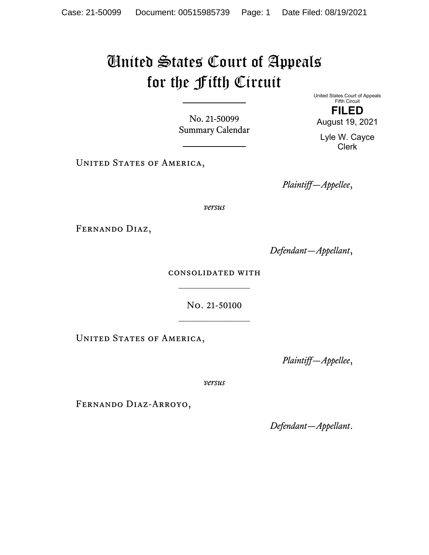## United States Court of Appeals for the Fifth Circuit

No. 21-50099 Summary Calendar

UNITED STATES OF AMERICA,

United States Court of Appeals Fifth Circuit **FILED** 

August 19, 2021

Lyle W. Cayce Clerk

*Plaintiff—Appellee*,

*versus*

Fernando Diaz,

*Defendant—Appellant*,

consolidated with  $\mathcal{L}_\text{max}$ 

> No. 21-50100  $\frac{1}{2}$

UNITED STATES OF AMERICA,

*Plaintiff—Appellee*,

*versus*

Fernando Diaz-Arroyo,

*Defendant—Appellant*.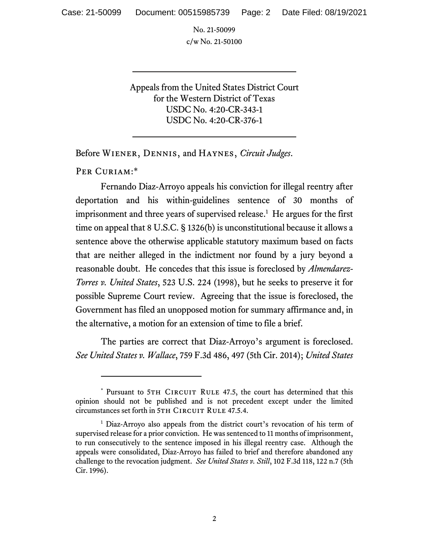No. 21-50099 c/w No. 21-50100

Appeals from the United States District Court for the Western District of Texas USDC No. 4:20-CR-343-1 USDC No. 4:20-CR-376-1

Before Wiener, Dennis, and Haynes, *Circuit Judges*.

Per Curiam:\*

Fernando Diaz-Arroyo appeals his conviction for illegal reentry after deportation and his within-guidelines sentence of 30 months of imprisonment and three years of supervised release.<sup>1</sup> He argues for the first time on appeal that 8 U.S.C. § 1326(b) is unconstitutional because it allows a sentence above the otherwise applicable statutory maximum based on facts that are neither alleged in the indictment nor found by a jury beyond a reasonable doubt. He concedes that this issue is foreclosed by *Almendarez-Torres v. United States*, 523 U.S. 224 (1998), but he seeks to preserve it for possible Supreme Court review. Agreeing that the issue is foreclosed, the Government has filed an unopposed motion for summary affirmance and, in the alternative, a motion for an extension of time to file a brief.

The parties are correct that Diaz-Arroyo's argument is foreclosed. *See United States v. Wallace*, 759 F.3d 486, 497 (5th Cir. 2014); *United States* 

<sup>\*</sup> Pursuant to 5TH CIRCUIT RULE 47.5, the court has determined that this opinion should not be published and is not precedent except under the limited circumstances set forth in 5TH CIRCUIT RULE 47.5.4.

<sup>&</sup>lt;sup>1</sup> Diaz-Arroyo also appeals from the district court's revocation of his term of supervised release for a prior conviction. He was sentenced to 11 months of imprisonment, to run consecutively to the sentence imposed in his illegal reentry case. Although the appeals were consolidated, Diaz-Arroyo has failed to brief and therefore abandoned any challenge to the revocation judgment. *See United States v. Still*, 102 F.3d 118, 122 n.7 (5th Cir. 1996).